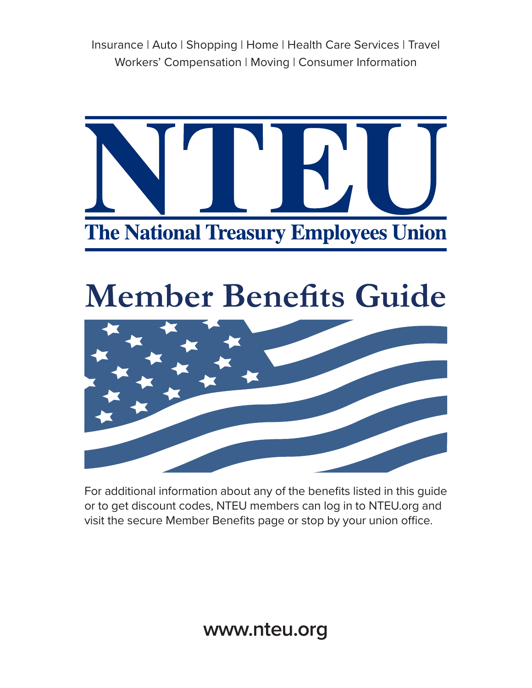Insurance | Auto | Shopping | Home | Health Care Services | Travel Workers' Compensation | Moving | Consumer Information



# **Member Benefits Guide**



For additional information about any of the benefits listed in this guide or to get discount codes, NTEU members can log in to NTEU.org and visit the secure Member Benefits page or stop by your union office.

**www.nteu.org**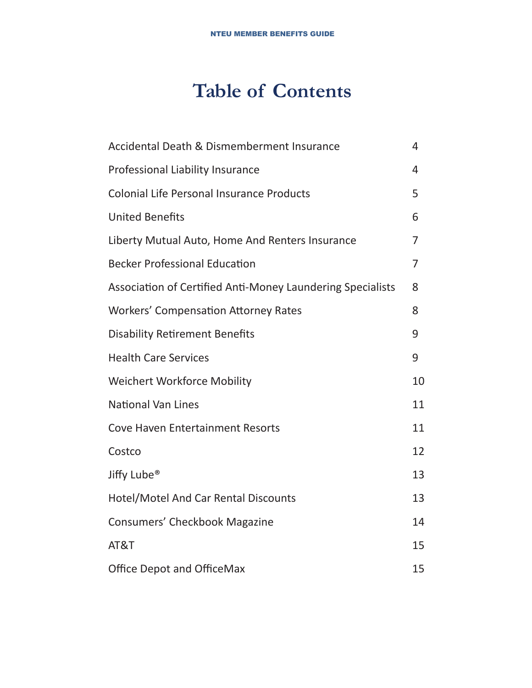# **Table of Contents**

| Accidental Death & Dismemberment Insurance                 | 4              |
|------------------------------------------------------------|----------------|
| Professional Liability Insurance                           | 4              |
| <b>Colonial Life Personal Insurance Products</b>           | 5              |
| <b>United Benefits</b>                                     | 6              |
| Liberty Mutual Auto, Home And Renters Insurance            | 7              |
| <b>Becker Professional Education</b>                       | $\overline{7}$ |
| Association of Certified Anti-Money Laundering Specialists | 8              |
| <b>Workers' Compensation Attorney Rates</b>                | 8              |
| <b>Disability Retirement Benefits</b>                      | 9              |
| <b>Health Care Services</b>                                | 9              |
| <b>Weichert Workforce Mobility</b>                         | 10             |
| <b>National Van Lines</b>                                  | 11             |
| <b>Cove Haven Entertainment Resorts</b>                    | 11             |
| Costco                                                     | 12             |
| Jiffy Lube <sup>®</sup>                                    | 13             |
| <b>Hotel/Motel And Car Rental Discounts</b>                | 13             |
| <b>Consumers' Checkbook Magazine</b>                       | 14             |
| AT&T                                                       | 15             |
| Office Depot and OfficeMax                                 | 15             |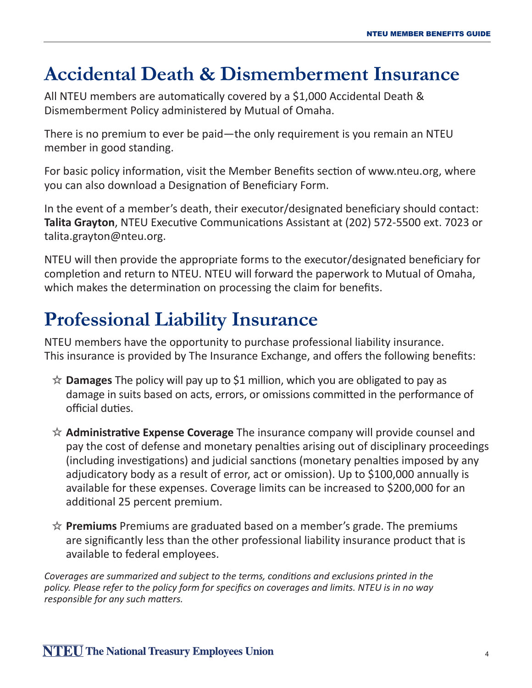### **Accidental Death & Dismemberment Insurance**

All NTEU members are automatically covered by a \$1,000 Accidental Death & Dismemberment Policy administered by Mutual of Omaha.

There is no premium to ever be paid—the only requirement is you remain an NTEU member in good standing.

For basic policy information, visit the Member Benefits section of www.nteu.org, where you can also download a Designation of Beneficiary Form.

In the event of a member's death, their executor/designated beneficiary should contact: **Talita Grayton**, NTEU Executive Communications Assistant at (202) 572-5500 ext. 7023 or talita.grayton@nteu.org.

NTEU will then provide the appropriate forms to the executor/designated beneficiary for completion and return to NTEU. NTEU will forward the paperwork to Mutual of Omaha, which makes the determination on processing the claim for benefits.

### **Professional Liability Insurance**

NTEU members have the opportunity to purchase professional liability insurance. This insurance is provided by The Insurance Exchange, and offers the following benefits:

- **Damages** The policy will pay up to \$1 million, which you are obligated to pay as damage in suits based on acts, errors, or omissions committed in the performance of official duties.
- **Administrative Expense Coverage** The insurance company will provide counsel and pay the cost of defense and monetary penalties arising out of disciplinary proceedings (including investigations) and judicial sanctions (monetary penalties imposed by any adjudicatory body as a result of error, act or omission). Up to \$100,000 annually is available for these expenses. Coverage limits can be increased to \$200,000 for an additional 25 percent premium.
- **Premiums** Premiums are graduated based on a member's grade. The premiums are significantly less than the other professional liability insurance product that is available to federal employees.

*Coverages are summarized and subject to the terms, conditions and exclusions printed in the policy. Please refer to the policy form for specifics on coverages and limits. NTEU is in no way responsible for any such matters.*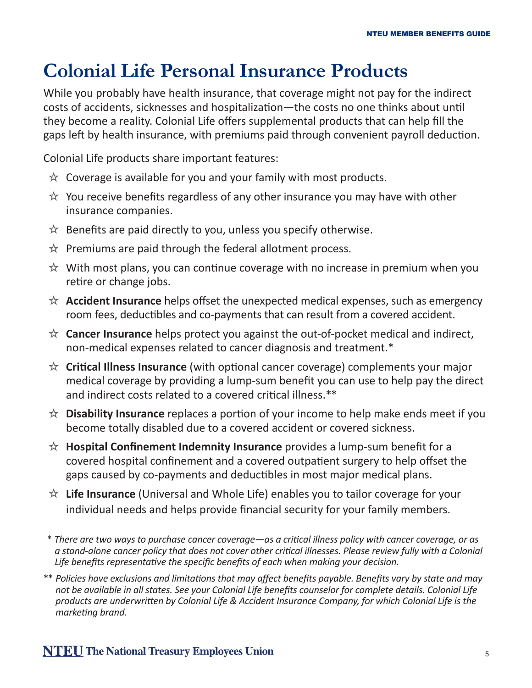### **Colonial Life Personal Insurance Products**

While you probably have health insurance, that coverage might not pay for the indirect costs of accidents, sicknesses and hospitalization—the costs no one thinks about until they become a reality. Colonial Life offers supplemental products that can help fill the gaps left by health insurance, with premiums paid through convenient payroll deduction.

Colonial Life products share important features:

- $\hat{\mathbb{X}}$  Coverage is available for you and your family with most products.
- $\hat{\mathcal{X}}$  You receive benefits regardless of any other insurance you may have with other insurance companies.
- $\hat{\mathbb{X}}$  Benefits are paid directly to you, unless you specify otherwise.
- $\hat{\mathcal{R}}$  Premiums are paid through the federal allotment process.
- $\hat{\mathcal{R}}$  With most plans, you can continue coverage with no increase in premium when you retire or change jobs.
- **Accident Insurance** helps offset the unexpected medical expenses, such as emergency room fees, deductibles and co-payments that can result from a covered accident.
- **Cancer Insurance** helps protect you against the out-of-pocket medical and indirect, non-medical expenses related to cancer diagnosis and treatment.\*
- **Critical Illness Insurance** (with optional cancer coverage) complements your major medical coverage by providing a lump-sum benefit you can use to help pay the direct and indirect costs related to a covered critical illness.\*\*
- **Disability Insurance** replaces a portion of your income to help make ends meet if you become totally disabled due to a covered accident or covered sickness.
- **Hospital Confinement Indemnity Insurance** provides a lump-sum benefit for a covered hospital confinement and a covered outpatient surgery to help offset the gaps caused by co-payments and deductibles in most major medical plans.
- **Life Insurance** (Universal and Whole Life) enables you to tailor coverage for your individual needs and helps provide financial security for your family members.
- \* *There are two ways to purchase cancer coverage—as a critical illness policy with cancer coverage, or as a stand-alone cancer policy that does not cover other critical illnesses. Please review fully with a Colonial Life benefits representative the specific benefits of each when making your decision.*
- \*\* *Policies have exclusions and limitations that may affect benefits payable. Benefits vary by state and may not be available in all states. See your Colonial Life benefits counselor for complete details. Colonial Life products are underwritten by Colonial Life & Accident Insurance Company, for which Colonial Life is the marketing brand.*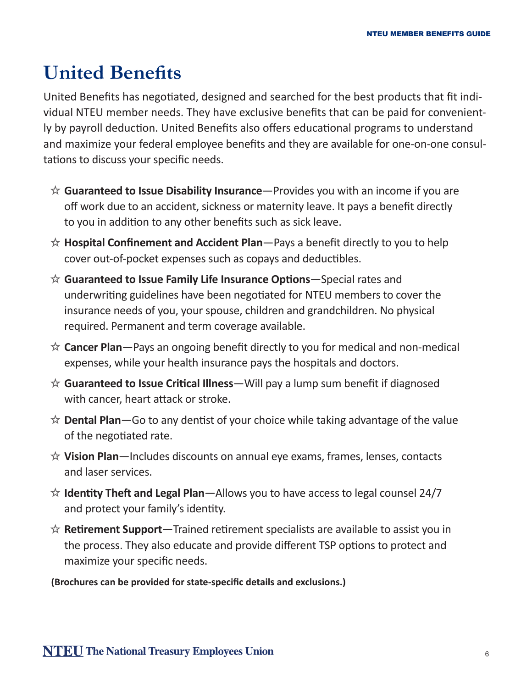# **United Benefits**

United Benefits has negotiated, designed and searched for the best products that fit individual NTEU member needs. They have exclusive benefits that can be paid for conveniently by payroll deduction. United Benefits also offers educational programs to understand and maximize your federal employee benefits and they are available for one-on-one consultations to discuss your specific needs.

- **Guaranteed to Issue Disability Insurance**—Provides you with an income if you are off work due to an accident, sickness or maternity leave. It pays a benefit directly to you in addition to any other benefits such as sick leave.
- **Hospital Confinement and Accident Plan**—Pays a benefit directly to you to help cover out-of-pocket expenses such as copays and deductibles.
- **Guaranteed to Issue Family Life Insurance Options**—Special rates and underwriting guidelines have been negotiated for NTEU members to cover the insurance needs of you, your spouse, children and grandchildren. No physical required. Permanent and term coverage available.
- **Cancer Plan**—Pays an ongoing benefit directly to you for medical and non-medical expenses, while your health insurance pays the hospitals and doctors.
- **Guaranteed to Issue Critical Illness**—Will pay a lump sum benefit if diagnosed with cancer, heart attack or stroke.
- **Dental Plan**—Go to any dentist of your choice while taking advantage of the value of the negotiated rate.
- **Vision Plan**—Includes discounts on annual eye exams, frames, lenses, contacts and laser services.
- **Identity Theft and Legal Plan**—Allows you to have access to legal counsel 24/7 and protect your family's identity.
- **Retirement Support**—Trained retirement specialists are available to assist you in the process. They also educate and provide different TSP options to protect and maximize your specific needs.

**(Brochures can be provided for state-specific details and exclusions.)**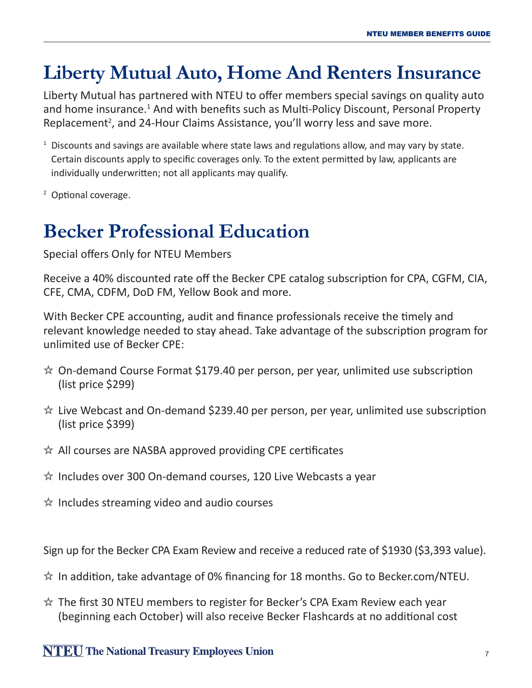### **Liberty Mutual Auto, Home And Renters Insurance**

Liberty Mutual has partnered with NTEU to offer members special savings on quality auto and home insurance.<sup>1</sup> And with benefits such as Multi-Policy Discount, Personal Property Replacement<sup>2</sup>, and 24-Hour Claims Assistance, you'll worry less and save more.

- $1$  Discounts and savings are available where state laws and regulations allow, and may vary by state. Certain discounts apply to specific coverages only. To the extent permitted by law, applicants are individually underwritten; not all applicants may qualify.
- <sup>2</sup> Optional coverage.

### **Becker Professional Education**

Special offers Only for NTEU Members

Receive a 40% discounted rate off the Becker CPE catalog subscription for CPA, CGFM, CIA, CFE, CMA, CDFM, DoD FM, Yellow Book and more.

With Becker CPE accounting, audit and finance professionals receive the timely and relevant knowledge needed to stay ahead. Take advantage of the subscription program for unlimited use of Becker CPE:

- $\hat{\mathbb{X}}$  On-demand Course Format \$179.40 per person, per year, unlimited use subscription (list price \$299)
- $\hat{\mathbb{X}}$  Live Webcast and On-demand \$239.40 per person, per year, unlimited use subscription (list price \$399)
- $\hat{\mathbb{X}}$  All courses are NASBA approved providing CPE certificates
- $\hat{\mathcal{R}}$  Includes over 300 On-demand courses, 120 Live Webcasts a year
- $\hat{\mathcal{R}}$  Includes streaming video and audio courses

Sign up for the Becker CPA Exam Review and receive a reduced rate of \$1930 (\$3,393 value).

- $\hat{\mathbb{X}}$  In addition, take advantage of 0% financing for 18 months. Go to Becker.com/NTEU.
- $\hat{\mathcal{R}}$  The first 30 NTEU members to register for Becker's CPA Exam Review each year (beginning each October) will also receive Becker Flashcards at no additional cost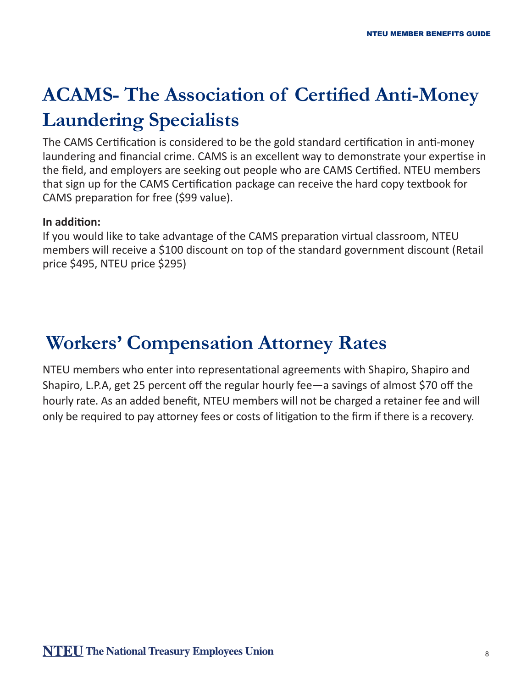# **ACAMS- The Association of Certified Anti-Money Laundering Specialists**

The CAMS Certification is considered to be the gold standard certification in anti-money laundering and financial crime. CAMS is an excellent way to demonstrate your expertise in the field, and employers are seeking out people who are CAMS Certified. NTEU members that sign up for the CAMS Certification package can receive the hard copy textbook for CAMS preparation for free (\$99 value).

#### **In addition:**

If you would like to take advantage of the CAMS preparation virtual classroom, NTEU members will receive a \$100 discount on top of the standard government discount (Retail price \$495, NTEU price \$295)

# **Workers' Compensation Attorney Rates**

NTEU members who enter into representational agreements with Shapiro, Shapiro and Shapiro, L.P.A, get 25 percent off the regular hourly fee—a savings of almost \$70 off the hourly rate. As an added benefit, NTEU members will not be charged a retainer fee and will only be required to pay attorney fees or costs of litigation to the firm if there is a recovery.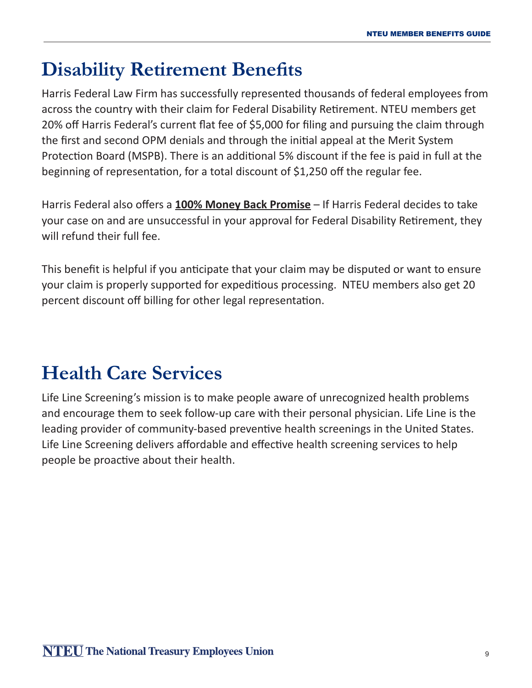### **Disability Retirement Benefits**

Harris Federal Law Firm has successfully represented thousands of federal employees from across the country with their claim for Federal Disability Retirement. NTEU members get 20% off Harris Federal's current flat fee of \$5,000 for filing and pursuing the claim through the first and second OPM denials and through the initial appeal at the Merit System Protection Board (MSPB). There is an additional 5% discount if the fee is paid in full at the beginning of representation, for a total discount of \$1,250 off the regular fee.

Harris Federal also offers a **100% Money Back Promise** – If Harris Federal decides to take your case on and are unsuccessful in your approval for Federal Disability Retirement, they will refund their full fee.

This benefit is helpful if you anticipate that your claim may be disputed or want to ensure your claim is properly supported for expeditious processing. NTEU members also get 20 percent discount off billing for other legal representation.

# **Health Care Services**

Life Line Screening's mission is to make people aware of unrecognized health problems and encourage them to seek follow-up care with their personal physician. Life Line is the leading provider of community-based preventive health screenings in the United States. Life Line Screening delivers affordable and effective health screening services to help people be proactive about their health.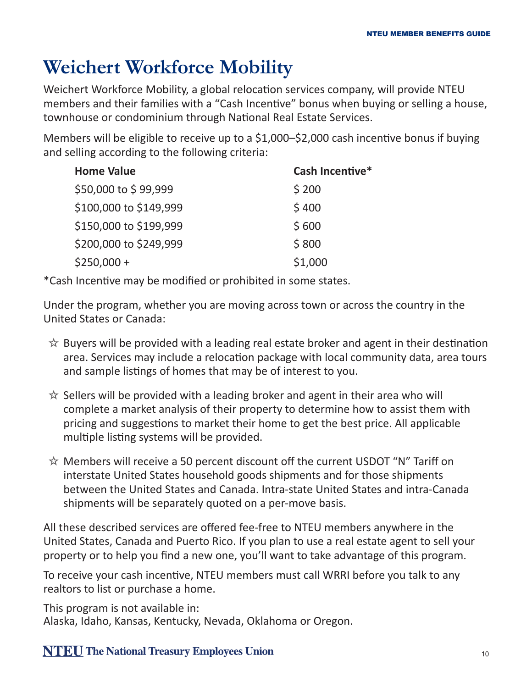### **Weichert Workforce Mobility**

Weichert Workforce Mobility, a global relocation services company, will provide NTEU members and their families with a "Cash Incentive" bonus when buying or selling a house, townhouse or condominium through National Real Estate Services.

Members will be eligible to receive up to a \$1,000–\$2,000 cash incentive bonus if buying and selling according to the following criteria:

| <b>Home Value</b>      | Cash Incentive* |
|------------------------|-----------------|
| \$50,000 to \$99,999   | \$200           |
| \$100,000 to \$149,999 | \$400           |
| \$150,000 to \$199,999 | \$600           |
| \$200,000 to \$249,999 | \$800           |
| $$250,000+$            | \$1,000         |

\*Cash Incentive may be modified or prohibited in some states.

Under the program, whether you are moving across town or across the country in the United States or Canada:

- $\hat{\mathbb{X}}$  Buyers will be provided with a leading real estate broker and agent in their destination area. Services may include a relocation package with local community data, area tours and sample listings of homes that may be of interest to you.
- $\hat{\mathbb{X}}$  Sellers will be provided with a leading broker and agent in their area who will complete a market analysis of their property to determine how to assist them with pricing and suggestions to market their home to get the best price. All applicable multiple listing systems will be provided.
- $\hat{\mathbb{X}}$  Members will receive a 50 percent discount off the current USDOT "N" Tariff on interstate United States household goods shipments and for those shipments between the United States and Canada. Intra-state United States and intra-Canada shipments will be separately quoted on a per-move basis.

All these described services are offered fee-free to NTEU members anywhere in the United States, Canada and Puerto Rico. If you plan to use a real estate agent to sell your property or to help you find a new one, you'll want to take advantage of this program.

To receive your cash incentive, NTEU members must call WRRI before you talk to any realtors to list or purchase a home.

This program is not available in: Alaska, Idaho, Kansas, Kentucky, Nevada, Oklahoma or Oregon.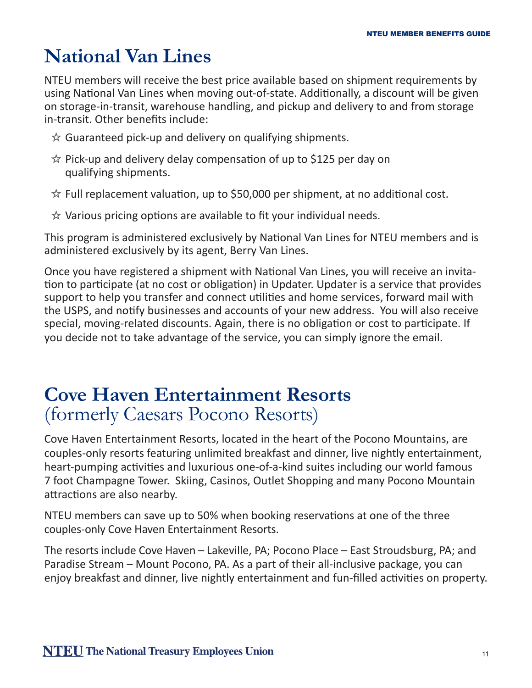### **National Van Lines**

NTEU members will receive the best price available based on shipment requirements by using National Van Lines when moving out-of-state. Additionally, a discount will be given on storage-in-transit, warehouse handling, and pickup and delivery to and from storage in-transit. Other benefits include:

- $\hat{\mathbb{X}}$  Guaranteed pick-up and delivery on qualifying shipments.
- $\hat{\mathbb{X}}$  Pick-up and delivery delay compensation of up to \$125 per day on qualifying shipments.
- $\hat{\mathbb{X}}$  Full replacement valuation, up to \$50,000 per shipment, at no additional cost.
- $\hat{\mathbb{X}}$  Various pricing options are available to fit your individual needs.

This program is administered exclusively by National Van Lines for NTEU members and is administered exclusively by its agent, Berry Van Lines.

Once you have registered a shipment with National Van Lines, you will receive an invitation to participate (at no cost or obligation) in Updater. Updater is a service that provides support to help you transfer and connect utilities and home services, forward mail with the USPS, and notify businesses and accounts of your new address. You will also receive special, moving-related discounts. Again, there is no obligation or cost to participate. If you decide not to take advantage of the service, you can simply ignore the email.

### **Cove Haven Entertainment Resorts**  (formerly Caesars Pocono Resorts)

Cove Haven Entertainment Resorts, located in the heart of the Pocono Mountains, are couples-only resorts featuring unlimited breakfast and dinner, live nightly entertainment, heart-pumping activities and luxurious one-of-a-kind suites including our world famous 7 foot Champagne Tower. Skiing, Casinos, Outlet Shopping and many Pocono Mountain attractions are also nearby.

NTEU members can save up to 50% when booking reservations at one of the three couples-only Cove Haven Entertainment Resorts.

The resorts include Cove Haven – Lakeville, PA; Pocono Place – East Stroudsburg, PA; and Paradise Stream – Mount Pocono, PA. As a part of their all-inclusive package, you can enjoy breakfast and dinner, live nightly entertainment and fun-filled activities on property.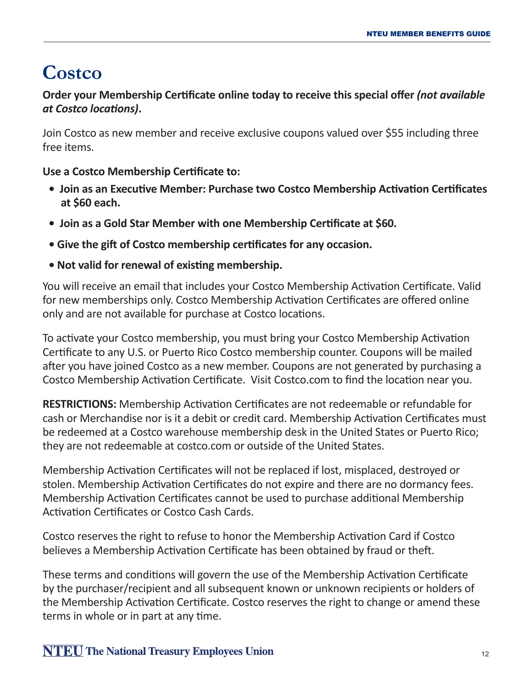### **Costco**

#### **Order your Membership Certificate online today to receive this special offer** *(not available at Costco locations)***.**

Join Costco as new member and receive exclusive coupons valued over \$55 including three free items.

**Use a Costco Membership Certificate to:**

- **Join as an Executive Member: Purchase two Costco Membership Activation Certificates at \$60 each.**
- **Join as a Gold Star Member with one Membership Certificate at \$60.**
- **Give the gift of Costco membership certificates for any occasion.**
- **Not valid for renewal of existing membership.**

You will receive an email that includes your Costco Membership Activation Certificate. Valid for new memberships only. Costco Membership Activation Certificates are offered online only and are not available for purchase at Costco locations.

To activate your Costco membership, you must bring your Costco Membership Activation Certificate to any U.S. or Puerto Rico Costco membership counter. Coupons will be mailed after you have joined Costco as a new member. Coupons are not generated by purchasing a Costco Membership Activation Certificate. Visit Costco.com to find the location near you.

**RESTRICTIONS:** Membership Activation Certificates are not redeemable or refundable for cash or Merchandise nor is it a debit or credit card. Membership Activation Certificates must be redeemed at a Costco warehouse membership desk in the United States or Puerto Rico; they are not redeemable at costco.com or outside of the United States.

Membership Activation Certificates will not be replaced if lost, misplaced, destroyed or stolen. Membership Activation Certificates do not expire and there are no dormancy fees. Membership Activation Certificates cannot be used to purchase additional Membership Activation Certificates or Costco Cash Cards.

Costco reserves the right to refuse to honor the Membership Activation Card if Costco believes a Membership Activation Certificate has been obtained by fraud or theft.

These terms and conditions will govern the use of the Membership Activation Certificate by the purchaser/recipient and all subsequent known or unknown recipients or holders of the Membership Activation Certificate. Costco reserves the right to change or amend these terms in whole or in part at any time.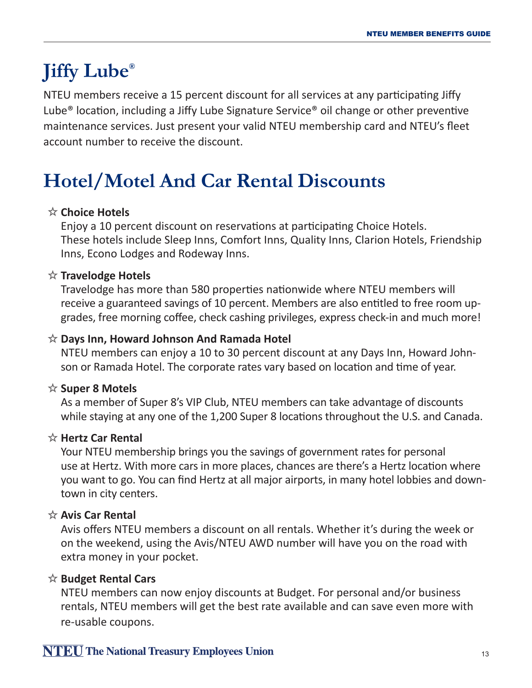# **Jiffy Lube®**

NTEU members receive a 15 percent discount for all services at any participating Jiffy Lube® location, including a Jiffy Lube Signature Service® oil change or other preventive maintenance services. Just present your valid NTEU membership card and NTEU's fleet account number to receive the discount.

# **Hotel/Motel And Car Rental Discounts**

### **Choice Hotels**

Enjoy a 10 percent discount on reservations at participating Choice Hotels. These hotels include Sleep Inns, Comfort Inns, Quality Inns, Clarion Hotels, Friendship Inns, Econo Lodges and Rodeway Inns.

### **Travelodge Hotels**

Travelodge has more than 580 properties nationwide where NTEU members will receive a guaranteed savings of 10 percent. Members are also entitled to free room upgrades, free morning coffee, check cashing privileges, express check-in and much more!

#### **Days Inn, Howard Johnson And Ramada Hotel**

NTEU members can enjoy a 10 to 30 percent discount at any Days Inn, Howard Johnson or Ramada Hotel. The corporate rates vary based on location and time of year.

#### **Super 8 Motels**

As a member of Super 8's VIP Club, NTEU members can take advantage of discounts while staying at any one of the 1,200 Super 8 locations throughout the U.S. and Canada.

### **Hertz Car Rental**

Your NTEU membership brings you the savings of government rates for personal use at Hertz. With more cars in more places, chances are there's a Hertz location where you want to go. You can find Hertz at all major airports, in many hotel lobbies and downtown in city centers.

#### **Avis Car Rental**

Avis offers NTEU members a discount on all rentals. Whether it's during the week or on the weekend, using the Avis/NTEU AWD number will have you on the road with extra money in your pocket.

#### **Budget Rental Cars**

NTEU members can now enjoy discounts at Budget. For personal and/or business rentals, NTEU members will get the best rate available and can save even more with re-usable coupons.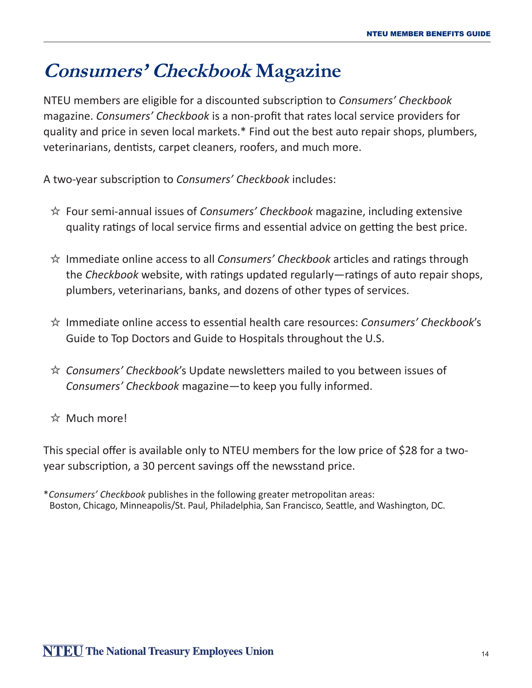### **Consumers' Checkbook Magazine**

NTEU members are eligible for a discounted subscription to *Consumers' Checkbook* magazine. *Consumers' Checkbook* is a non-profit that rates local service providers for quality and price in seven local markets.\* Find out the best auto repair shops, plumbers, veterinarians, dentists, carpet cleaners, roofers, and much more.

A two-year subscription to *Consumers' Checkbook* includes:

- Four semi-annual issues of *Consumers' Checkbook* magazine, including extensive quality ratings of local service firms and essential advice on getting the best price.
- Immediate online access to all *Consumers' Checkbook* articles and ratings through the *Checkbook* website, with ratings updated regularly—ratings of auto repair shops, plumbers, veterinarians, banks, and dozens of other types of services.
- Immediate online access to essential health care resources: *Consumers' Checkbook*'s Guide to Top Doctors and Guide to Hospitals throughout the U.S.
- *Consumers' Checkbook*'s Update newsletters mailed to you between issues of *Consumers' Checkbook* magazine—to keep you fully informed.
- $\star$  Much more!

This special offer is available only to NTEU members for the low price of \$28 for a twoyear subscription, a 30 percent savings off the newsstand price.

\**Consumers' Checkbook* publishes in the following greater metropolitan areas: Boston, Chicago, Minneapolis/St. Paul, Philadelphia, San Francisco, Seattle, and Washington, DC.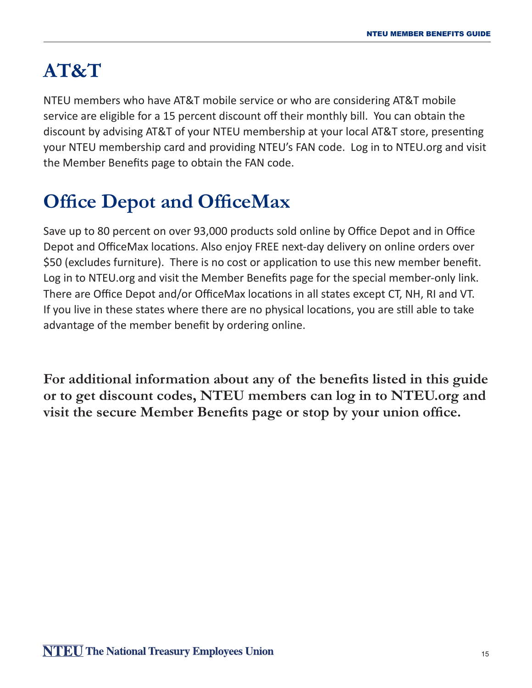# **AT&T**

NTEU members who have AT&T mobile service or who are considering AT&T mobile service are eligible for a 15 percent discount off their monthly bill. You can obtain the discount by advising AT&T of your NTEU membership at your local AT&T store, presenting your NTEU membership card and providing NTEU's FAN code. Log in to NTEU.org and visit the Member Benefits page to obtain the FAN code.

# **Office Depot and OfficeMax**

Save up to 80 percent on over 93,000 products sold online by Office Depot and in Office Depot and OfficeMax locations. Also enjoy FREE next-day delivery on online orders over \$50 (excludes furniture). There is no cost or application to use this new member benefit. Log in to NTEU.org and visit the Member Benefits page for the special member-only link. There are Office Depot and/or OfficeMax locations in all states except CT, NH, RI and VT. If you live in these states where there are no physical locations, you are still able to take advantage of the member benefit by ordering online.

**For additional information about any of the benefits listed in this guide or to get discount codes, NTEU members can log in to NTEU.org and visit the secure Member Benefits page or stop by your union office.**